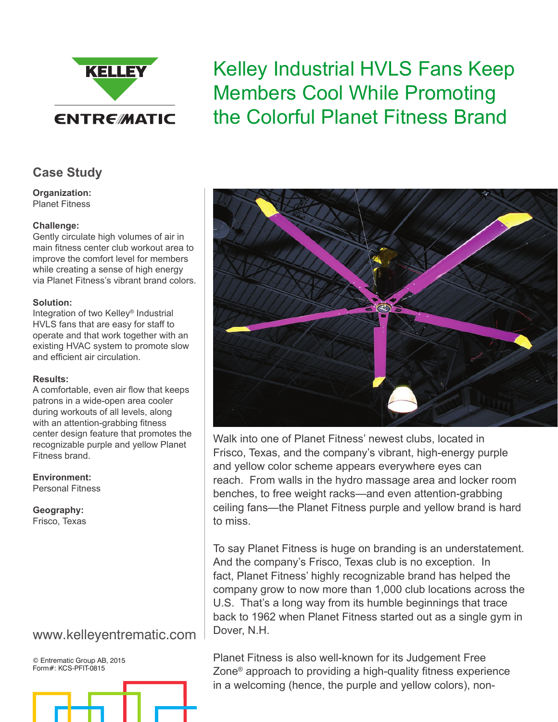

# Kelley Industrial HVLS Fans Keep Members Cool While Promoting the Colorful Planet Fitness Brand

## **Case Study**

**Organization:** Planet Fitness

#### **Challenge:**

Gently circulate high volumes of air in main fitness center club workout area to improve the comfort level for members while creating a sense of high energy via Planet Fitness's vibrant brand colors.

#### **Solution:**

Integration of two Kelley® Industrial HVLS fans that are easy for staff to operate and that work together with an existing HVAC system to promote slow and efficient air circulation.

#### **Results:**

A comfortable, even air flow that keeps patrons in a wide-open area cooler during workouts of all levels, along with an attention-grabbing fitness center design feature that promotes the recognizable purple and yellow Planet Fitness brand.

#### **Environment:**

Personal Fitness

**Geography:** Frisco, Texas

# www.kelleyentrematic.com

© Entrematic Group AB, 2015 Form#: KCS-PFIT-0815





Walk into one of Planet Fitness' newest clubs, located in Frisco, Texas, and the company's vibrant, high-energy purple and yellow color scheme appears everywhere eyes can reach. From walls in the hydro massage area and locker room benches, to free weight racks—and even attention-grabbing ceiling fans—the Planet Fitness purple and yellow brand is hard to miss.

To say Planet Fitness is huge on branding is an understatement. And the company's Frisco, Texas club is no exception. In fact, Planet Fitness' highly recognizable brand has helped the company grow to now more than 1,000 club locations across the U.S. That's a long way from its humble beginnings that trace back to 1962 when Planet Fitness started out as a single gym in Dover, N.H.

Planet Fitness is also well-known for its Judgement Free Zone® approach to providing a high-quality fitness experience in a welcoming (hence, the purple and yellow colors), non-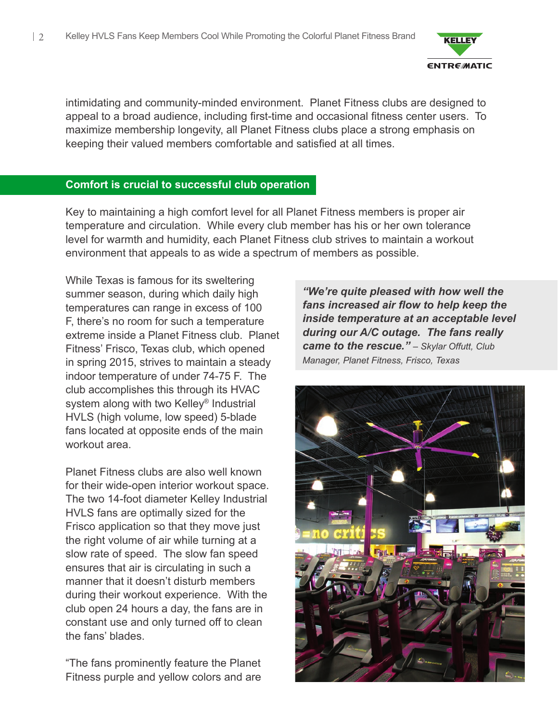

intimidating and community-minded environment. Planet Fitness clubs are designed to appeal to a broad audience, including first-time and occasional fitness center users. To maximize membership longevity, all Planet Fitness clubs place a strong emphasis on keeping their valued members comfortable and satisfied at all times.

### **Comfort is crucial to successful club operation**

Key to maintaining a high comfort level for all Planet Fitness members is proper air temperature and circulation. While every club member has his or her own tolerance level for warmth and humidity, each Planet Fitness club strives to maintain a workout environment that appeals to as wide a spectrum of members as possible.

While Texas is famous for its sweltering summer season, during which daily high temperatures can range in excess of 100 F, there's no room for such a temperature extreme inside a Planet Fitness club. Planet Fitness' Frisco, Texas club, which opened in spring 2015, strives to maintain a steady indoor temperature of under 74-75 F. The club accomplishes this through its HVAC system along with two Kelley® Industrial HVLS (high volume, low speed) 5-blade fans located at opposite ends of the main workout area.

Planet Fitness clubs are also well known for their wide-open interior workout space. The two 14-foot diameter Kelley Industrial HVLS fans are optimally sized for the Frisco application so that they move just the right volume of air while turning at a slow rate of speed. The slow fan speed ensures that air is circulating in such a manner that it doesn't disturb members during their workout experience. With the club open 24 hours a day, the fans are in constant use and only turned off to clean the fans' blades.

"The fans prominently feature the Planet Fitness purple and yellow colors and are

*"We're quite pleased with how well the fans increased air flow to help keep the inside temperature at an acceptable level during our A/C outage. The fans really came to the rescue." – Skylar Offutt, Club Manager, Planet Fitness, Frisco, Texas*

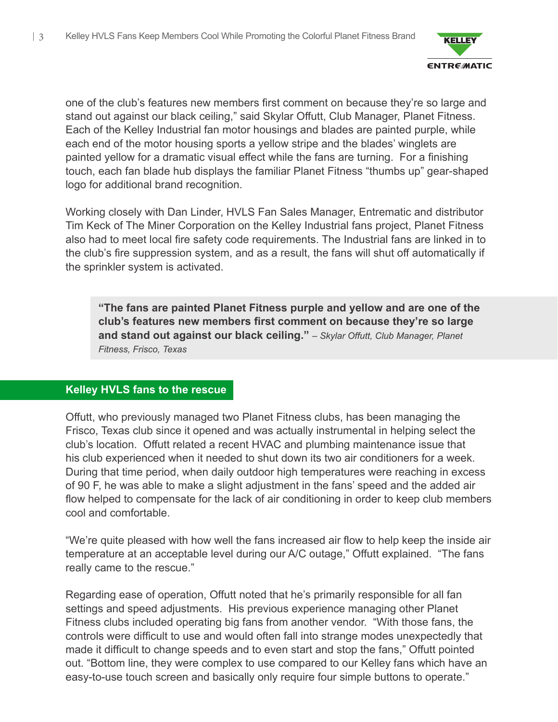

one of the club's features new members first comment on because they're so large and stand out against our black ceiling," said Skylar Offutt, Club Manager, Planet Fitness. Each of the Kelley Industrial fan motor housings and blades are painted purple, while each end of the motor housing sports a yellow stripe and the blades' winglets are painted yellow for a dramatic visual effect while the fans are turning. For a finishing touch, each fan blade hub displays the familiar Planet Fitness "thumbs up" gear-shaped logo for additional brand recognition.

Working closely with Dan Linder, HVLS Fan Sales Manager, Entrematic and distributor Tim Keck of The Miner Corporation on the Kelley Industrial fans project, Planet Fitness also had to meet local fire safety code requirements. The Industrial fans are linked in to the club's fire suppression system, and as a result, the fans will shut off automatically if the sprinkler system is activated.

**"The fans are painted Planet Fitness purple and yellow and are one of the club's features new members first comment on because they're so large and stand out against our black ceiling."** *– Skylar Offutt, Club Manager, Planet Fitness, Frisco, Texas*

## **Kelley HVLS fans to the rescue**

Offutt, who previously managed two Planet Fitness clubs, has been managing the Frisco, Texas club since it opened and was actually instrumental in helping select the club's location. Offutt related a recent HVAC and plumbing maintenance issue that his club experienced when it needed to shut down its two air conditioners for a week. During that time period, when daily outdoor high temperatures were reaching in excess of 90 F, he was able to make a slight adjustment in the fans' speed and the added air flow helped to compensate for the lack of air conditioning in order to keep club members cool and comfortable.

"We're quite pleased with how well the fans increased air flow to help keep the inside air temperature at an acceptable level during our A/C outage," Offutt explained. "The fans really came to the rescue."

Regarding ease of operation, Offutt noted that he's primarily responsible for all fan settings and speed adjustments. His previous experience managing other Planet Fitness clubs included operating big fans from another vendor. "With those fans, the controls were difficult to use and would often fall into strange modes unexpectedly that made it difficult to change speeds and to even start and stop the fans," Offutt pointed out. "Bottom line, they were complex to use compared to our Kelley fans which have an easy-to-use touch screen and basically only require four simple buttons to operate."